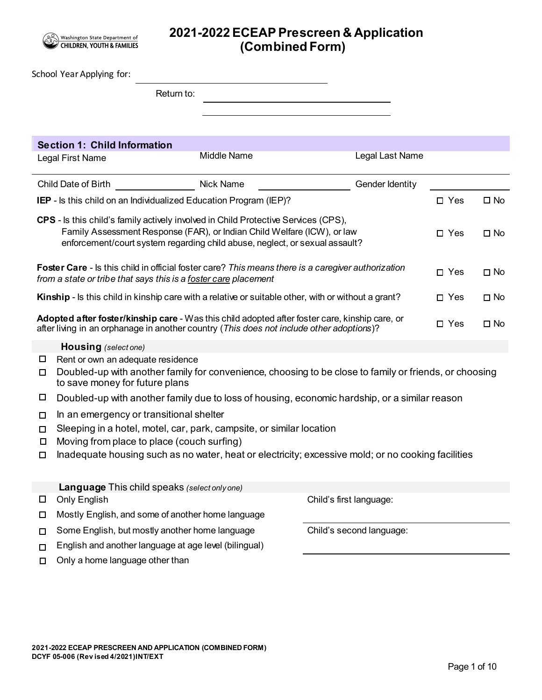

# **2021-2022ECEAP Prescreen & Application (Combined Form)**

|                                                                                                                                                                                                                                                                            | School Year Applying for:                                                                                                                                                                                  |                                                                          |                                                                                                        |            |              |  |  |  |
|----------------------------------------------------------------------------------------------------------------------------------------------------------------------------------------------------------------------------------------------------------------------------|------------------------------------------------------------------------------------------------------------------------------------------------------------------------------------------------------------|--------------------------------------------------------------------------|--------------------------------------------------------------------------------------------------------|------------|--------------|--|--|--|
|                                                                                                                                                                                                                                                                            |                                                                                                                                                                                                            | Return to:                                                               |                                                                                                        |            |              |  |  |  |
|                                                                                                                                                                                                                                                                            |                                                                                                                                                                                                            |                                                                          |                                                                                                        |            |              |  |  |  |
|                                                                                                                                                                                                                                                                            |                                                                                                                                                                                                            |                                                                          |                                                                                                        |            |              |  |  |  |
|                                                                                                                                                                                                                                                                            | <b>Section 1: Child Information</b>                                                                                                                                                                        |                                                                          |                                                                                                        |            |              |  |  |  |
|                                                                                                                                                                                                                                                                            | Legal First Name                                                                                                                                                                                           | <b>Middle Name</b>                                                       | Legal Last Name                                                                                        |            |              |  |  |  |
| Child Date of Birth                                                                                                                                                                                                                                                        |                                                                                                                                                                                                            |                                                                          |                                                                                                        |            |              |  |  |  |
|                                                                                                                                                                                                                                                                            |                                                                                                                                                                                                            | <b>IEP</b> - Is this child on an Individualized Education Program (IEP)? |                                                                                                        | $\Box$ Yes | $\square$ No |  |  |  |
| CPS - Is this child's family actively involved in Child Protective Services (CPS),<br>Family Assessment Response (FAR), or Indian Child Welfare (ICW), or law<br>$\Box$ Yes<br>$\square$ No<br>enforcement/court system regarding child abuse, neglect, or sexual assault? |                                                                                                                                                                                                            |                                                                          |                                                                                                        |            |              |  |  |  |
|                                                                                                                                                                                                                                                                            | <b>Foster Care</b> - Is this child in official foster care? This means there is a caregiver authorization<br>$\Box$ Yes<br>$\square$ No<br>from a state or tribe that says this is a foster care placement |                                                                          |                                                                                                        |            |              |  |  |  |
|                                                                                                                                                                                                                                                                            | Kinship - Is this child in kinship care with a relative or suitable other, with or without a grant?<br>$\square$ No<br>$\Box$ Yes                                                                          |                                                                          |                                                                                                        |            |              |  |  |  |
| Adopted after foster/kinship care - Was this child adopted after foster care, kinship care, or<br>$\square$ Yes<br>$\square$ No<br>after living in an orphanage in another country (This does not include other adoptions)?                                                |                                                                                                                                                                                                            |                                                                          |                                                                                                        |            |              |  |  |  |
|                                                                                                                                                                                                                                                                            | <b>Housing</b> (select one)                                                                                                                                                                                |                                                                          |                                                                                                        |            |              |  |  |  |
| □<br>□                                                                                                                                                                                                                                                                     | Rent or own an adequate residence<br>to save money for future plans                                                                                                                                        |                                                                          | Doubled-up with another family for convenience, choosing to be close to family or friends, or choosing |            |              |  |  |  |
| □                                                                                                                                                                                                                                                                          |                                                                                                                                                                                                            |                                                                          | Doubled-up with another family due to loss of housing, economic hardship, or a similar reason          |            |              |  |  |  |
| □                                                                                                                                                                                                                                                                          | In an emergency or transitional shelter                                                                                                                                                                    |                                                                          |                                                                                                        |            |              |  |  |  |
| □<br>□                                                                                                                                                                                                                                                                     | Moving from place to place (couch surfing)                                                                                                                                                                 | Sleeping in a hotel, motel, car, park, campsite, or similar location     |                                                                                                        |            |              |  |  |  |
| □                                                                                                                                                                                                                                                                          |                                                                                                                                                                                                            |                                                                          | Inadequate housing such as no water, heat or electricity; excessive mold; or no cooking facilities     |            |              |  |  |  |
| $\Box$<br>□                                                                                                                                                                                                                                                                | Language This child speaks (select only one)<br><b>Only English</b>                                                                                                                                        | Mostly English, and some of another home language                        | Child's first language:                                                                                |            |              |  |  |  |
| □                                                                                                                                                                                                                                                                          | Some English, but mostly another home language                                                                                                                                                             |                                                                          | Child's second language:                                                                               |            |              |  |  |  |
| □                                                                                                                                                                                                                                                                          |                                                                                                                                                                                                            | English and another language at age level (bilingual)                    |                                                                                                        |            |              |  |  |  |
| □                                                                                                                                                                                                                                                                          | Only a home language other than                                                                                                                                                                            |                                                                          |                                                                                                        |            |              |  |  |  |
|                                                                                                                                                                                                                                                                            |                                                                                                                                                                                                            |                                                                          |                                                                                                        |            |              |  |  |  |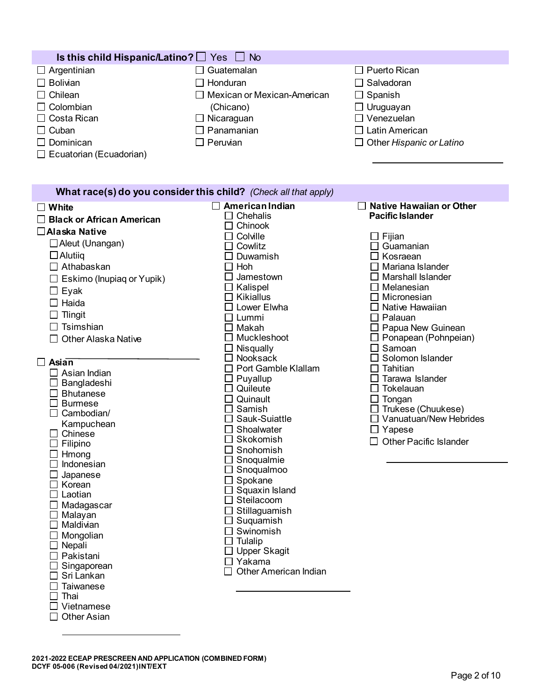| Is this child Hispanic/Latino? $\Box$ Yes $\Box$ No |                                    |                                 |  |  |  |  |
|-----------------------------------------------------|------------------------------------|---------------------------------|--|--|--|--|
| $\Box$ Argentinian                                  | $\Box$ Guatemalan                  | $\Box$ Puerto Rican             |  |  |  |  |
| $\Box$ Bolivian                                     | $\Box$ Honduran                    | $\Box$ Salvadoran               |  |  |  |  |
| $\Box$ Chilean                                      | $\Box$ Mexican or Mexican-American | $\Box$ Spanish                  |  |  |  |  |
| $\Box$ Colombian                                    | (Chicano)                          | $\Box$ Uruguayan                |  |  |  |  |
| $\Box$ Costa Rican                                  | $\Box$ Nicaraguan                  | $\Box$ Venezuelan               |  |  |  |  |
| $\Box$ Cuban                                        | $\Box$ Panamanian                  | $\Box$ Latin American           |  |  |  |  |
| $\Box$ Dominican                                    | $\Box$ Peruvian                    | $\Box$ Other Hispanic or Latino |  |  |  |  |
| $\Box$ Ecuatorian (Ecuadorian)                      |                                    |                                 |  |  |  |  |

## **What race(s) do you consider this child?** *(Check all that apply)*

| White                            | American Indian                                       | Native Hawaiian or Other                   |
|----------------------------------|-------------------------------------------------------|--------------------------------------------|
| <b>Black or African American</b> | Chehalis                                              | <b>Pacific Islander</b>                    |
| <b>∆Alaska Native</b>            | Chinook                                               |                                            |
| $\Box$ Aleut (Unangan)           | Colville<br>$\Box$                                    | $\Box$ Fijian                              |
|                                  | Cowlitz                                               | Guamanian<br>П                             |
| $\Box$ Alutiiq                   | Duwamish                                              | Kosraean<br>$\blacksquare$                 |
| $\Box$ Athabaskan                | Hoh                                                   | Mariana Islander                           |
| $\Box$ Eskimo (Inupiag or Yupik) | Jamestown                                             | Marshall Islander                          |
| $\square$ Eyak                   | Kalispel                                              | Melanesian                                 |
| $\Box$ Haida                     | Kikiallus<br>IJ                                       | $\Box$ Micronesian                         |
| $\Box$ Tlingit                   | Lower Elwha<br>$\blacksquare$                         | Native Hawaiian                            |
| $\Box$ Tsimshian                 | Lummi                                                 | Palauan<br>$\perp$                         |
|                                  | Makah<br>Muckleshoot                                  | Papua New Guinean                          |
| <b>Other Alaska Native</b>       |                                                       | $\Box$ Ponapean (Pohnpeian)                |
|                                  | Nisqually<br>$\mathbf{I}$<br>Nooksack<br>$\mathbf{I}$ | $\Box$ Samoan<br>Solomon Islander          |
| Asian                            |                                                       |                                            |
| $\Box$ Asian Indian              | Port Gamble Klallam                                   | Tahitian<br>Tarawa Islander                |
| Bangladeshi                      | Puyallup<br>Quileute                                  | Tokelauan                                  |
| $\Box$ Bhutanese                 | Quinault                                              |                                            |
| <b>Burmese</b>                   | Samish                                                | $\Box$ Tongan<br>$\Box$ Trukese (Chuukese) |
| Cambodian/                       | Sauk-Suiattle                                         | $\Box$ Vanuatuan/New Hebrides              |
| Kampuchean                       | Shoalwater                                            | $\Box$ Yapese                              |
| $\Box$ Chinese                   | Skokomish                                             | <b>Other Pacific Islander</b>              |
| $\Box$ Filipino                  | Snohomish                                             |                                            |
| $\Box$ Hmong                     | Snoqualmie                                            |                                            |
| $\Box$ Indonesian                | Snoqualmoo                                            |                                            |
| Japanese                         | Spokane                                               |                                            |
| Korean                           | Squaxin Island                                        |                                            |
| $\Box$ Laotian                   | Steilacoom                                            |                                            |
| $\Box$ Madagascar                | Stillaguamish                                         |                                            |
| $\Box$ Malayan                   | Suquamish                                             |                                            |
| $\Box$ Maldivian                 | Swinomish                                             |                                            |
| Mongolian                        | Tulalip                                               |                                            |
| $\Box$ Nepali                    | <b>Upper Skagit</b>                                   |                                            |
| $\Box$ Pakistani                 | П<br>Yakama                                           |                                            |
| Singaporean<br>Sri Lankan        | Other American Indian                                 |                                            |
|                                  |                                                       |                                            |
| Taiwanese<br>$\square$ Thai      |                                                       |                                            |
| Vietnamese                       |                                                       |                                            |
|                                  |                                                       |                                            |
| <b>Other Asian</b>               |                                                       |                                            |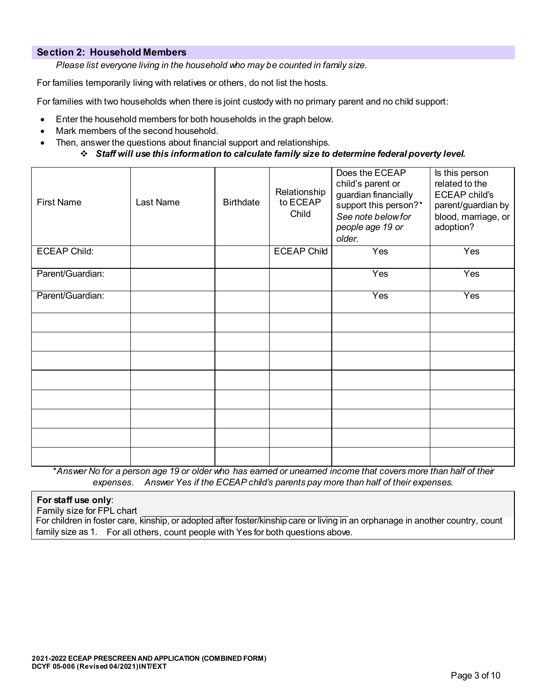#### **Section 2: Household Members**

*Please list everyone living in the household who may be counted in family size*.

For families temporarily living with relatives or others, do not list the hosts.

For families with two households when there is joint custody with no primary parent and no child support:

- Enter the household members for both households in the graph below.
- Mark members of the second household.
- Then, answer the questions about financial support and relationships*.*

#### *Staff will use this information to calculate family size to determine federal poverty level.*

| <b>First Name</b>   | Last Name | <b>Birthdate</b> | Relationship<br>to ECEAP<br>Child | Does the ECEAP<br>child's parent or<br>guardian financially<br>support this person?*<br>See note below for<br>people age 19 or<br>older. | Is this person<br>related to the<br><b>ECEAP child's</b><br>parent/guardian by<br>blood, marriage, or<br>adoption? |
|---------------------|-----------|------------------|-----------------------------------|------------------------------------------------------------------------------------------------------------------------------------------|--------------------------------------------------------------------------------------------------------------------|
| <b>ECEAP Child:</b> |           |                  | <b>ECEAP Child</b>                | Yes                                                                                                                                      | Yes                                                                                                                |
| Parent/Guardian:    |           |                  |                                   | Yes                                                                                                                                      | Yes                                                                                                                |
| Parent/Guardian:    |           |                  |                                   | Yes                                                                                                                                      | Yes                                                                                                                |
|                     |           |                  |                                   |                                                                                                                                          |                                                                                                                    |
|                     |           |                  |                                   |                                                                                                                                          |                                                                                                                    |
|                     |           |                  |                                   |                                                                                                                                          |                                                                                                                    |
|                     |           |                  |                                   |                                                                                                                                          |                                                                                                                    |
|                     |           |                  |                                   |                                                                                                                                          |                                                                                                                    |
|                     |           |                  |                                   |                                                                                                                                          |                                                                                                                    |
|                     |           |                  |                                   |                                                                                                                                          |                                                                                                                    |
|                     |           |                  |                                   |                                                                                                                                          |                                                                                                                    |

\**Answer No for a person age 19 or older who has earned or unearned income that covers more than half of their expenses. Answer Yes if the ECEAP child's parents pay more than half of their expenses.*

#### **For staff use only**:

Family size for FPL chart

For children in foster care, kinship, or adopted after foster/kinship care or living in an orphanage in another country, count family size as 1. For all others, count people with Yes for both questions above.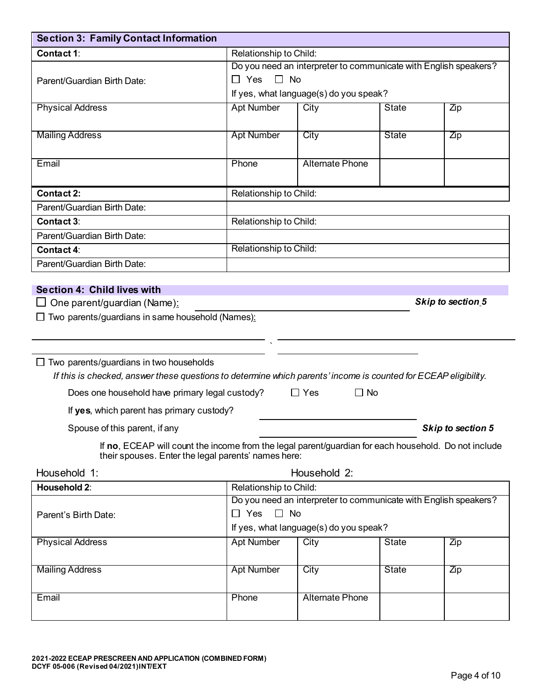| Contact 1:                                                                                                                                                                                                                                                                                        | Relationship to Child:                                                                                                             |                                        |              |                   |  |  |
|---------------------------------------------------------------------------------------------------------------------------------------------------------------------------------------------------------------------------------------------------------------------------------------------------|------------------------------------------------------------------------------------------------------------------------------------|----------------------------------------|--------------|-------------------|--|--|
|                                                                                                                                                                                                                                                                                                   | Do you need an interpreter to communicate with English speakers?                                                                   |                                        |              |                   |  |  |
| Parent/Guardian Birth Date:                                                                                                                                                                                                                                                                       | $\Box$ No<br>$\Box$ Yes                                                                                                            |                                        |              |                   |  |  |
|                                                                                                                                                                                                                                                                                                   |                                                                                                                                    | If yes, what language(s) do you speak? |              |                   |  |  |
| <b>Physical Address</b>                                                                                                                                                                                                                                                                           | <b>Apt Number</b>                                                                                                                  | City                                   | <b>State</b> | Zip               |  |  |
| <b>Mailing Address</b>                                                                                                                                                                                                                                                                            | <b>Apt Number</b>                                                                                                                  | City                                   | <b>State</b> | Zip               |  |  |
| Email                                                                                                                                                                                                                                                                                             | Phone                                                                                                                              | <b>Alternate Phone</b>                 |              |                   |  |  |
| <b>Contact 2:</b>                                                                                                                                                                                                                                                                                 | Relationship to Child:                                                                                                             |                                        |              |                   |  |  |
| Parent/Guardian Birth Date:                                                                                                                                                                                                                                                                       |                                                                                                                                    |                                        |              |                   |  |  |
| <b>Contact 3:</b>                                                                                                                                                                                                                                                                                 | Relationship to Child:                                                                                                             |                                        |              |                   |  |  |
| Parent/Guardian Birth Date:                                                                                                                                                                                                                                                                       |                                                                                                                                    |                                        |              |                   |  |  |
| Contact 4:                                                                                                                                                                                                                                                                                        | Relationship to Child:                                                                                                             |                                        |              |                   |  |  |
| Parent/Guardian Birth Date:                                                                                                                                                                                                                                                                       |                                                                                                                                    |                                        |              |                   |  |  |
| $\Box$ Two parents/guardians in two households<br>If this is checked, answer these questions to determine which parents' income is counted for ECEAP eligibility.<br>Does one household have primary legal custody?<br>If yes, which parent has primary custody?<br>Spouse of this parent, if any |                                                                                                                                    | $\Box$ Yes<br>$\Box$ No                |              | Skip to section 5 |  |  |
| If no, ECEAP will count the income from the legal parent/guardian for each household. Do not include<br>their spouses. Enter the legal parents' names here:                                                                                                                                       |                                                                                                                                    |                                        |              |                   |  |  |
| Household 1:                                                                                                                                                                                                                                                                                      |                                                                                                                                    | Household 2:                           |              |                   |  |  |
| Household 2:                                                                                                                                                                                                                                                                                      | Relationship to Child:                                                                                                             |                                        |              |                   |  |  |
| Parent's Birth Date:                                                                                                                                                                                                                                                                              | Do you need an interpreter to communicate with English speakers?<br>$\Box$ Yes $\Box$ No<br>If yes, what language(s) do you speak? |                                        |              |                   |  |  |
| <b>Physical Address</b>                                                                                                                                                                                                                                                                           | Apt Number                                                                                                                         | City                                   | State        | Zip               |  |  |
| <b>Mailing Address</b>                                                                                                                                                                                                                                                                            | <b>Apt Number</b>                                                                                                                  | City                                   | <b>State</b> | Zip               |  |  |
| Email                                                                                                                                                                                                                                                                                             | Phone                                                                                                                              | <b>Alternate Phone</b>                 |              |                   |  |  |

**Section 3: Family Contact Information**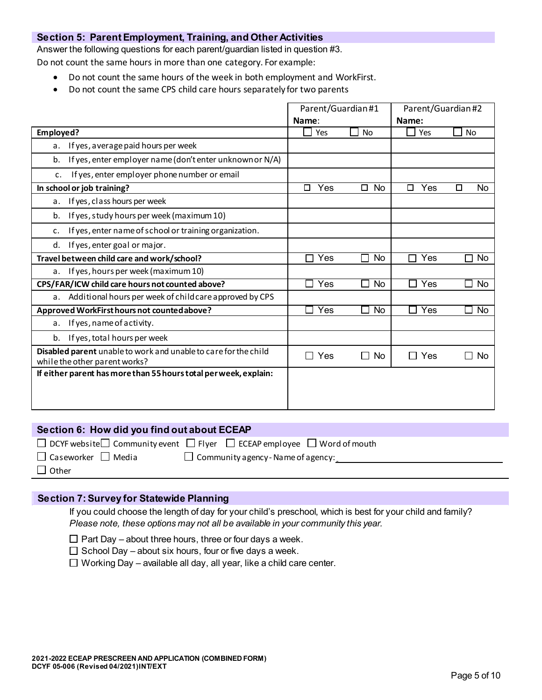#### **Section 5: Parent Employment, Training, and Other Activities**

Answer the following questions for each parent/guardian listed in question #3.

Do not count the same hours in more than one category. For example:

- Do not count the same hours of the week in both employment and WorkFirst.
- Do not count the same CPS child care hours separately for two parents

|                                                                                                  | Parent/Guardian#1 |                     | Parent/Guardian#2   |                            |
|--------------------------------------------------------------------------------------------------|-------------------|---------------------|---------------------|----------------------------|
|                                                                                                  | Name:             |                     | Name:               |                            |
| Employed?                                                                                        | Yes               | <b>No</b>           | Yes                 | <b>No</b>                  |
| If yes, average paid hours per week<br>a.                                                        |                   |                     |                     |                            |
| If yes, enter employer name (don't enter unknown or N/A)<br>b.                                   |                   |                     |                     |                            |
| If yes, enter employer phone number or email<br>c.                                               |                   |                     |                     |                            |
| In school or job training?                                                                       | Yes<br>П          | <b>No</b><br>$\Box$ | Yes<br>П            | No<br>П                    |
| If yes, class hours per week<br>a.                                                               |                   |                     |                     |                            |
| If yes, study hours per week (maximum 10)<br>b.                                                  |                   |                     |                     |                            |
| If yes, enter name of school or training organization.<br>c.                                     |                   |                     |                     |                            |
| If yes, enter goal or major.<br>d.                                                               |                   |                     |                     |                            |
| Travel between child care and work/school?                                                       | Yes               | <b>No</b>           | Yes<br>П            | No<br>П                    |
| If yes, hours per week (maximum 10)<br>a.                                                        |                   |                     |                     |                            |
| CPS/FAR/ICW child care hours not counted above?                                                  | Yes               | <b>No</b>           | Yes<br>$\mathsf{L}$ | <b>No</b><br>$\mathcal{L}$ |
| Additional hours per week of child care approved by CPS<br>а.                                    |                   |                     |                     |                            |
| Approved WorkFirst hours not counted above?                                                      | Yes               | No                  | Yes<br>$\mathbf{I}$ | No<br>$\sim$               |
| If yes, name of activity.<br>a.                                                                  |                   |                     |                     |                            |
| If yes, total hours per week<br>b.                                                               |                   |                     |                     |                            |
| Disabled parent unable to work and unable to care for the child<br>while the other parent works? | Yes<br>П          | <b>No</b>           | $\Box$ Yes          | <b>No</b><br>$\Box$        |
| If either parent has more than 55 hours total per week, explain:                                 |                   |                     |                     |                            |

| Section 6: How did you find out about ECEAP |                                                                                                    |  |  |
|---------------------------------------------|----------------------------------------------------------------------------------------------------|--|--|
|                                             | $\Box$ DCYF website $\Box$ Community event $\Box$ Flyer $\Box$ ECEAP employee $\Box$ Word of mouth |  |  |
| $\Box$ Caseworker $\Box$ Media              | $\Box$ Community agency - Name of agency:                                                          |  |  |
| $\Box$ Other                                |                                                                                                    |  |  |
|                                             |                                                                                                    |  |  |

#### **Section 7: Survey for Statewide Planning**

If you could choose the length of day for your child's preschool, which is best for your child and family? *Please note, these options may not all be available in your community this year.* 

- $\Box$  Part Day about three hours, three or four days a week.
- $\Box$  School Day about six hours, four or five days a week.
- $\Box$  Working Day available all day, all year, like a child care center.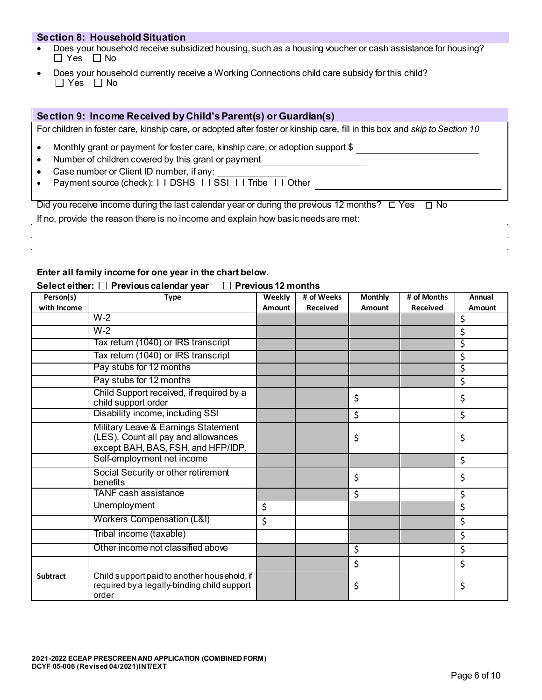#### **Section 8: Household Situation**

- Does your household receive subsidized housing, such as a housing voucher or cash assistance for housing?  $\Box$  Yes  $\Box$  No
- Does your household currently receive a Working Connections child care subsidy for this child?  $\Box$  Yes  $\Box$  No

#### **Section 9: Income Received by Child's Parent(s) or Guardian(s)**

For children in foster care, kinship care, or adopted after foster or kinship care, fill in this box and *skip to Section 10*

- Monthly grant or payment for foster care, kinship care, or adoption support \$
- Number of children covered by this grant or payment
- Case number or Client ID number, if any:
- Payment source (check):  $\Box$  DSHS  $\Box$  SSI  $\Box$  Tribe  $\Box$  Other

Did you receive income during the last calendar year or during the previous 12 months?  $\Box$  Yes  $\Box$  No

If no, provide the reason there is no income and explain how basic needs are met:

#### **Enter all family income for one year in the chart below.**

| Person(s)       | <b>Type</b>                                                                                                      | Weekly | # of Weeks      | <b>Monthly</b> | # of Months     | Annual |
|-----------------|------------------------------------------------------------------------------------------------------------------|--------|-----------------|----------------|-----------------|--------|
| with Income     |                                                                                                                  | Amount | <b>Received</b> | Amount         | <b>Received</b> | Amount |
|                 | $W-2$                                                                                                            |        |                 |                |                 | \$     |
|                 | $W-2$                                                                                                            |        |                 |                |                 | \$     |
|                 | Tax return (1040) or IRS transcript                                                                              |        |                 |                |                 | \$     |
|                 | Tax return (1040) or IRS transcript                                                                              |        |                 |                |                 | \$     |
|                 | Pay stubs for 12 months                                                                                          |        |                 |                |                 | \$     |
|                 | Pay stubs for 12 months                                                                                          |        |                 |                |                 | \$     |
|                 | Child Support received, if required by a<br>child support order                                                  |        |                 | \$             |                 | \$     |
|                 | Disability income, including SSI                                                                                 |        |                 | \$             |                 | \$     |
|                 | Military Leave & Earnings Statement<br>(LES). Count all pay and allowances<br>except BAH, BAS, FSH, and HFP/IDP. |        |                 | \$             |                 | \$     |
|                 | Self-employment net income                                                                                       |        |                 |                |                 | \$     |
|                 | Social Security or other retirement<br>benefits                                                                  |        |                 | \$             |                 | \$     |
|                 | <b>TANF</b> cash assistance                                                                                      |        |                 | \$             |                 | \$     |
|                 | <b>Unemployment</b>                                                                                              | \$     |                 |                |                 | \$     |
|                 | <b>Workers Compensation (L&amp;I)</b>                                                                            | \$     |                 |                |                 | \$     |
|                 | Tribal income (taxable)                                                                                          |        |                 |                |                 | \$     |
|                 | Other income not classified above                                                                                |        |                 | \$             |                 | \$     |
|                 |                                                                                                                  |        |                 | \$             |                 | \$     |
| <b>Subtract</b> | Child support paid to another household, if<br>required by a legally-binding child support<br>order              |        |                 | \$             |                 | \$     |

#### $S$ elect either:  $\Box$  Previous calendar year  $\Box$  Previous 12 months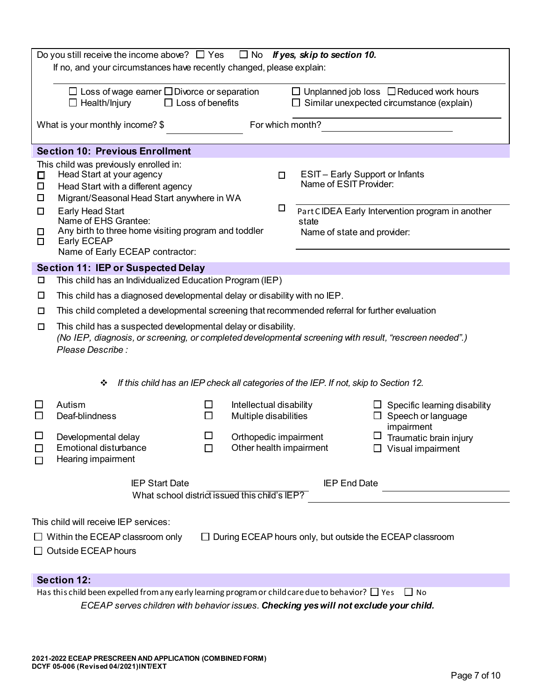|                                           | Do you still receive the income above? $\Box$ Yes<br>If no, and your circumstances have recently changed, please explain:                                                                                                                                                                                     |        |                                                  |             | $\Box$ No If yes, skip to section 10.                                                                  |                                                                                                  |  |
|-------------------------------------------|---------------------------------------------------------------------------------------------------------------------------------------------------------------------------------------------------------------------------------------------------------------------------------------------------------------|--------|--------------------------------------------------|-------------|--------------------------------------------------------------------------------------------------------|--------------------------------------------------------------------------------------------------|--|
|                                           | $\Box$ Loss of wage earner $\Box$ Divorce or separation<br>$\Box$ Loss of benefits<br>$\Box$ Health/Injury                                                                                                                                                                                                    |        |                                                  |             |                                                                                                        | $\Box$ Unplanned job loss $\Box$ Reduced work hours<br>Similar unexpected circumstance (explain) |  |
|                                           | What is your monthly income? \$                                                                                                                                                                                                                                                                               |        |                                                  |             | For which month?                                                                                       |                                                                                                  |  |
|                                           | <b>Section 10: Previous Enrollment</b>                                                                                                                                                                                                                                                                        |        |                                                  |             |                                                                                                        |                                                                                                  |  |
| $\Box$<br>$\Box$<br>$\Box$<br>П<br>◻<br>□ | This child was previously enrolled in:<br>Head Start at your agency<br>Head Start with a different agency<br>Migrant/Seasonal Head Start anywhere in WA<br>Early Head Start<br>Name of EHS Grantee:<br>Any birth to three home visiting program and toddler<br>Early ECEAP<br>Name of Early ECEAP contractor: |        |                                                  | $\Box$<br>□ | <b>ESIT-Early Support or Infants</b><br>Name of ESIT Provider:<br>state<br>Name of state and provider: | Part CIDEA Early Intervention program in another                                                 |  |
|                                           | <b>Section 11: IEP or Suspected Delay</b>                                                                                                                                                                                                                                                                     |        |                                                  |             |                                                                                                        |                                                                                                  |  |
| □                                         | This child has an Individualized Education Program (IEP)                                                                                                                                                                                                                                                      |        |                                                  |             |                                                                                                        |                                                                                                  |  |
| □                                         | This child has a diagnosed developmental delay or disability with no IEP.                                                                                                                                                                                                                                     |        |                                                  |             |                                                                                                        |                                                                                                  |  |
| □                                         | This child completed a developmental screening that recommended referral for further evaluation                                                                                                                                                                                                               |        |                                                  |             |                                                                                                        |                                                                                                  |  |
| □                                         | This child has a suspected developmental delay or disability.<br>(No IEP, diagnosis, or screening, or completed developmental screening with result, "rescreen needed".)<br>Please Describe :                                                                                                                 |        |                                                  |             |                                                                                                        |                                                                                                  |  |
|                                           | If this child has an IEP check all categories of the IEP. If not, skip to Section 12.<br>❖                                                                                                                                                                                                                    |        |                                                  |             |                                                                                                        |                                                                                                  |  |
| ப<br>$\Box$                               | Autism<br>Deaf-blindness                                                                                                                                                                                                                                                                                      | $\Box$ | Intellectual disability<br>Multiple disabilities |             |                                                                                                        | $\Box$ Specific learning disability<br>$\Box$ Speech or language                                 |  |
| $\mathbf{L}$<br>П                         | impairment<br>$\Box$<br>$\Box$<br>Orthopedic impairment<br>Developmental delay<br>Traumatic brain injury<br>Other health impairment<br><b>Emotional disturbance</b><br>$\Box$<br>$\Box$ Visual impairment<br>Hearing impairment                                                                               |        |                                                  |             |                                                                                                        |                                                                                                  |  |
|                                           | <b>IEP Start Date</b><br><b>IEP End Date</b><br>What school district issued this child's IEP?                                                                                                                                                                                                                 |        |                                                  |             |                                                                                                        |                                                                                                  |  |
|                                           |                                                                                                                                                                                                                                                                                                               |        |                                                  |             |                                                                                                        |                                                                                                  |  |
|                                           | This child will receive IEP services:<br>$\Box$ Within the ECEAP classroom only<br>$\Box$ Outside ECEAP hours                                                                                                                                                                                                 |        |                                                  |             |                                                                                                        | $\Box$ During ECEAP hours only, but outside the ECEAP classroom                                  |  |
|                                           | <b>Section 12:</b>                                                                                                                                                                                                                                                                                            |        |                                                  |             |                                                                                                        |                                                                                                  |  |
|                                           | Has this child been expelled from any early learning program or child care due to behavior? $\Box$ Yes                                                                                                                                                                                                        |        |                                                  |             |                                                                                                        | $\Box$ No                                                                                        |  |
|                                           | ECEAP serves children with behavior issues. Checking yes will not exclude your child.                                                                                                                                                                                                                         |        |                                                  |             |                                                                                                        |                                                                                                  |  |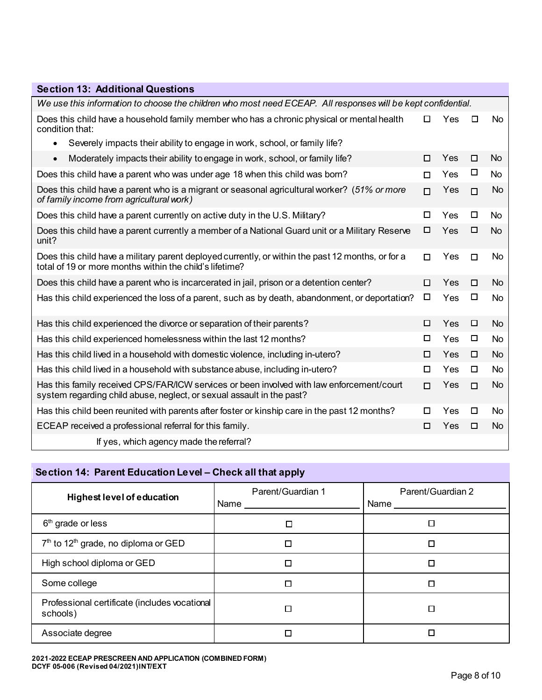| <b>Section 13: Additional Questions</b>                                                                                                                            |        |     |        |           |
|--------------------------------------------------------------------------------------------------------------------------------------------------------------------|--------|-----|--------|-----------|
| We use this information to choose the children who most need ECEAP. All responses will be kept confidential.                                                       |        |     |        |           |
| Does this child have a household family member who has a chronic physical or mental health<br>condition that:                                                      | □      | Yes | □      | No        |
| Severely impacts their ability to engage in work, school, or family life?<br>$\bullet$                                                                             |        |     |        |           |
| Moderately impacts their ability to engage in work, school, or family life?<br>$\bullet$                                                                           | □      | Yes | □      | No        |
| Does this child have a parent who was under age 18 when this child was born?                                                                                       | $\Box$ | Yes | □      | No        |
| Does this child have a parent who is a migrant or seasonal agricultural worker? (51% or more<br>of family income from agricultural work)                           | п      | Yes | $\Box$ | No.       |
| Does this child have a parent currently on active duty in the U.S. Military?                                                                                       | $\Box$ | Yes | $\Box$ | No        |
| Does this child have a parent currently a member of a National Guard unit or a Military Reserve<br>unit?                                                           | □      | Yes | □      | No        |
| Does this child have a military parent deployed currently, or within the past 12 months, or for a<br>total of 19 or more months within the child's lifetime?       | $\Box$ | Yes | $\Box$ | No        |
| Does this child have a parent who is incarcerated in jail, prison or a detention center?                                                                           | □      | Yes | $\Box$ | No.       |
| Has this child experienced the loss of a parent, such as by death, abandonment, or deportation?                                                                    | □      | Yes | □      | <b>No</b> |
| Has this child experienced the divorce or separation of their parents?                                                                                             | □      | Yes | □      | No.       |
| Has this child experienced homelessness within the last 12 months?                                                                                                 | □      | Yes | □      | No        |
| Has this child lived in a household with domestic violence, including in-utero?                                                                                    | □      | Yes | □      | No        |
| Has this child lived in a household with substance abuse, including in-utero?                                                                                      | □      | Yes | □      | No.       |
| Has this family received CPS/FAR/ICW services or been involved with law enforcement/court<br>system regarding child abuse, neglect, or sexual assault in the past? | $\Box$ | Yes | $\Box$ | No        |
| Has this child been reunited with parents after foster or kinship care in the past 12 months?                                                                      | □      | Yes | $\Box$ | No        |
| ECEAP received a professional referral for this family.                                                                                                            | □      | Yes | □      | <b>No</b> |
| If yes, which agency made the referral?                                                                                                                            |        |     |        |           |

## **Section 14: Parent Education Level – Check all that apply**

| <b>Highest level of education</b>                            | Parent/Guardian 1<br>Name $\_\_\_\$ | Parent/Guardian 2<br>Name __________ |
|--------------------------------------------------------------|-------------------------------------|--------------------------------------|
| $6th$ grade or less                                          | □                                   |                                      |
| 7 <sup>th</sup> to 12 <sup>th</sup> grade, no diploma or GED |                                     |                                      |
| High school diploma or GED                                   |                                     | $\Box$                               |
| Some college                                                 |                                     | П                                    |
| Professional certificate (includes vocational<br>schools)    |                                     |                                      |
| Associate degree                                             |                                     |                                      |

**2021-2022 ECEAP PRESCREEN AND APPLICATION (COMBINED FORM) DCYF 05-006 (Revised 04/2021)INT/EXT**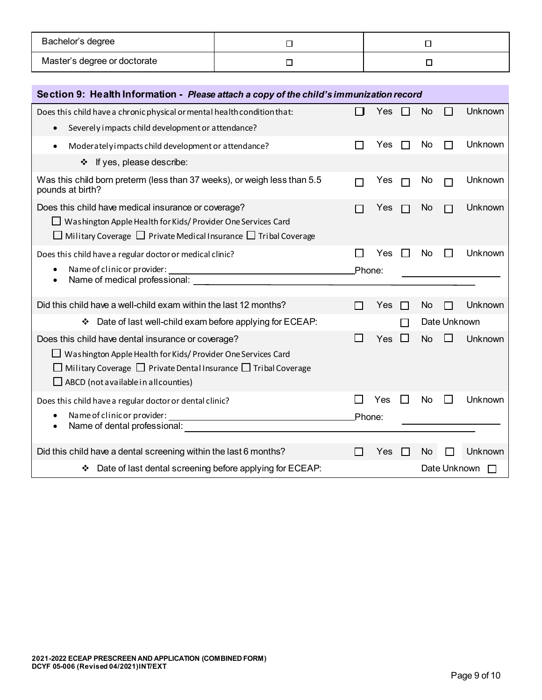| Bachelor's degree            |  |
|------------------------------|--|
| Master's degree or doctorate |  |

| Section 9: Health Information - Please attach a copy of the child's immunization record                                                                                                                                                       |        |     |                |           |              |         |  |  |  |  |
|-----------------------------------------------------------------------------------------------------------------------------------------------------------------------------------------------------------------------------------------------|--------|-----|----------------|-----------|--------------|---------|--|--|--|--|
| Does this child have a chronic physical or mental health condition that:<br>Severely impacts child development or attendance?<br>$\bullet$                                                                                                    |        | Yes |                | <b>No</b> |              | Unknown |  |  |  |  |
| Moderately impacts child development or attendance?<br>$\bullet$                                                                                                                                                                              |        | Yes |                | No        |              | Unknown |  |  |  |  |
| ❖ If yes, please describe:                                                                                                                                                                                                                    |        |     |                |           |              |         |  |  |  |  |
| Was this child born preterm (less than 37 weeks), or weigh less than 5.5<br>pounds at birth?                                                                                                                                                  |        | Yes | П              | No        |              | Unknown |  |  |  |  |
| Does this child have medical insurance or coverage?<br>Washington Apple Health for Kids/ Provider One Services Card<br>$\Box$ Military Coverage $\Box$ Private Medical Insurance $\Box$ Tribal Coverage                                       |        | Yes |                | No        |              | Unknown |  |  |  |  |
| Does this child have a regular doctor or medical clinic?<br>Name of clinic or provider:<br>٠<br>Name of medical professional:<br>$\bullet$                                                                                                    | Phone: | Yes | $\blacksquare$ | No        |              | Unknown |  |  |  |  |
| Did this child have a well-child exam within the last 12 months?                                                                                                                                                                              |        | Yes | $\mathcal{L}$  | No        |              | Unknown |  |  |  |  |
| Date of last well-child exam before applying for ECEAP:<br>❖                                                                                                                                                                                  |        |     |                |           | Date Unknown |         |  |  |  |  |
| Does this child have dental insurance or coverage?<br>Washington Apple Health for Kids/ Provider One Services Card<br>Military Coverage $\Box$ Private Dental Insurance $\Box$ Tribal Coverage<br>$\Box$ ABCD (not available in all counties) |        | Yes | ΙI             | <b>No</b> |              | Unknown |  |  |  |  |
| Does this child have a regular doctor or dental clinic?<br>Name of clinic or provider:<br>Name of dental professional:<br>٠                                                                                                                   | Phone: | Yes |                | No        | $\mathbf{I}$ | Unknown |  |  |  |  |
| Did this child have a dental screening within the last 6 months?                                                                                                                                                                              |        | Yes | l 1            | <b>No</b> |              | Unknown |  |  |  |  |
| Date of last dental screening before applying for ECEAP:                                                                                                                                                                                      |        |     |                |           | Date Unknown |         |  |  |  |  |